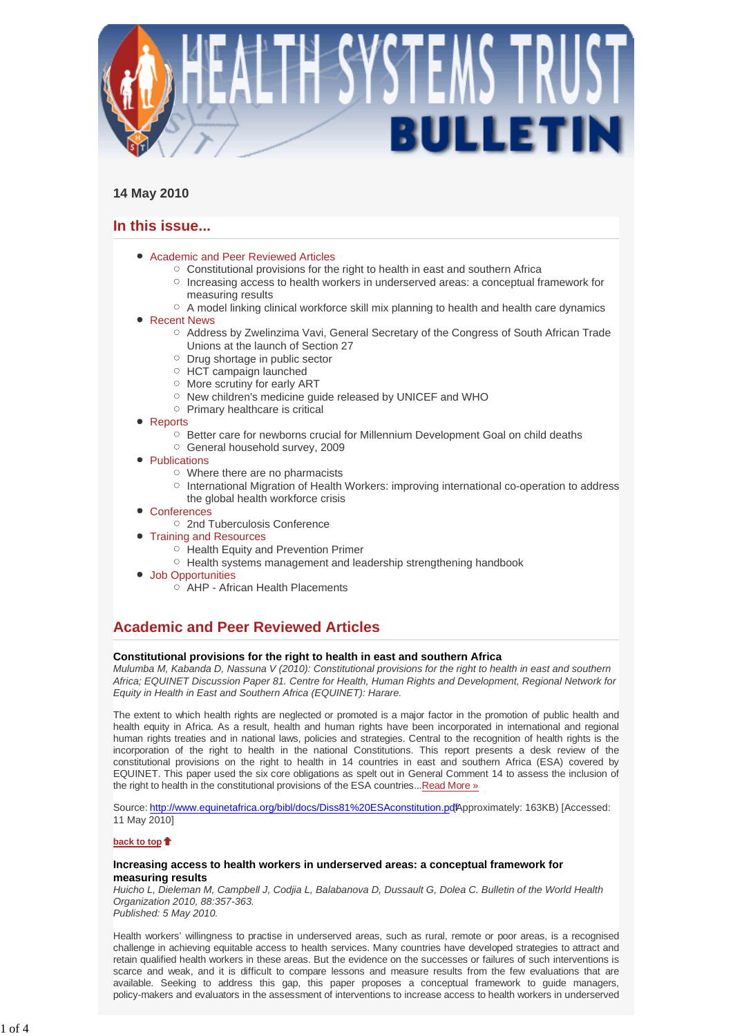

# **14 May 2010**

# **In this issue...**

- Academic and Peer Reviewed Articles
	- $\circ$  Constitutional provisions for the right to health in east and southern Africa
	- $\circ$  Increasing access to health workers in underserved areas: a conceptual framework for measuring results
	- o A model linking clinical workforce skill mix planning to health and health care dynamics
- Recent News
	- $\circ$  Address by Zwelinzima Vavi, General Secretary of the Congress of South African Trade Unions at the launch of Section 27
	- $\circ$  Drug shortage in public sector
	- $\circ$  HCT campaign launched
	- More scrutiny for early ART
	- o New children's medicine guide released by UNICEF and WHO
	- $\circ$  Primary healthcare is critical
- Reports
	- $\circ$  Better care for newborns crucial for Millennium Development Goal on child deaths
	- General household survey, 2009
- Publications
	- Where there are no pharmacists
	- International Migration of Health Workers: improving international co-operation to address the global health workforce crisis
- Conferences
	- 2nd Tuberculosis Conference
- **Training and Resources** 
	- Health Equity and Prevention Primer
	- $\circ$  Health systems management and leadership strengthening handbook
- Job Opportunities
	- $\overrightarrow{O}$  AHP African Health Placements

# **Academic and Peer Reviewed Articles**

### **Constitutional provisions for the right to health in east and southern Africa**

*Mulumba M, Kabanda D, Nassuna V (2010): Constitutional provisions for the right to health in east and southern Africa; EQUINET Discussion Paper 81. Centre for Health, Human Rights and Development, Regional Network for Equity in Health in East and Southern Africa (EQUINET): Harare.* 

The extent to which health rights are neglected or promoted is a major factor in the promotion of public health and health equity in Africa. As a result, health and human rights have been incorporated in international and regional human rights treaties and in national laws, policies and strategies. Central to the recognition of health rights is the incorporation of the right to health in the national Constitutions. This report presents a desk review of the constitutional provisions on the right to health in 14 countries in east and southern Africa (ESA) covered by EQUINET. This paper used the six core obligations as spelt out in General Comment 14 to assess the inclusion of the right to health in the constitutional provisions of the ESA countries... Read More »

Source: http://www.equinetafrica.org/bibl/docs/Diss81%20ESAconstitution.pdfApproximately: 163KB) [Accessed: 11 May 2010]

### **back to top**

### **Increasing access to health workers in underserved areas: a conceptual framework for measuring results**

*Huicho L, Dieleman M, Campbell J, Codjia L, Balabanova D, Dussault G, Dolea C. Bulletin of the World Health Organization 2010, 88:357-363.* 

*Published: 5 May 2010.*

Health workers' willingness to practise in underserved areas, such as rural, remote or poor areas, is a recognised challenge in achieving equitable access to health services. Many countries have developed strategies to attract and retain qualified health workers in these areas. But the evidence on the successes or failures of such interventions is scarce and weak, and it is difficult to compare lessons and measure results from the few evaluations that are available. Seeking to address this gap, this paper proposes a conceptual framework to guide managers, policy-makers and evaluators in the assessment of interventions to increase access to health workers in underserved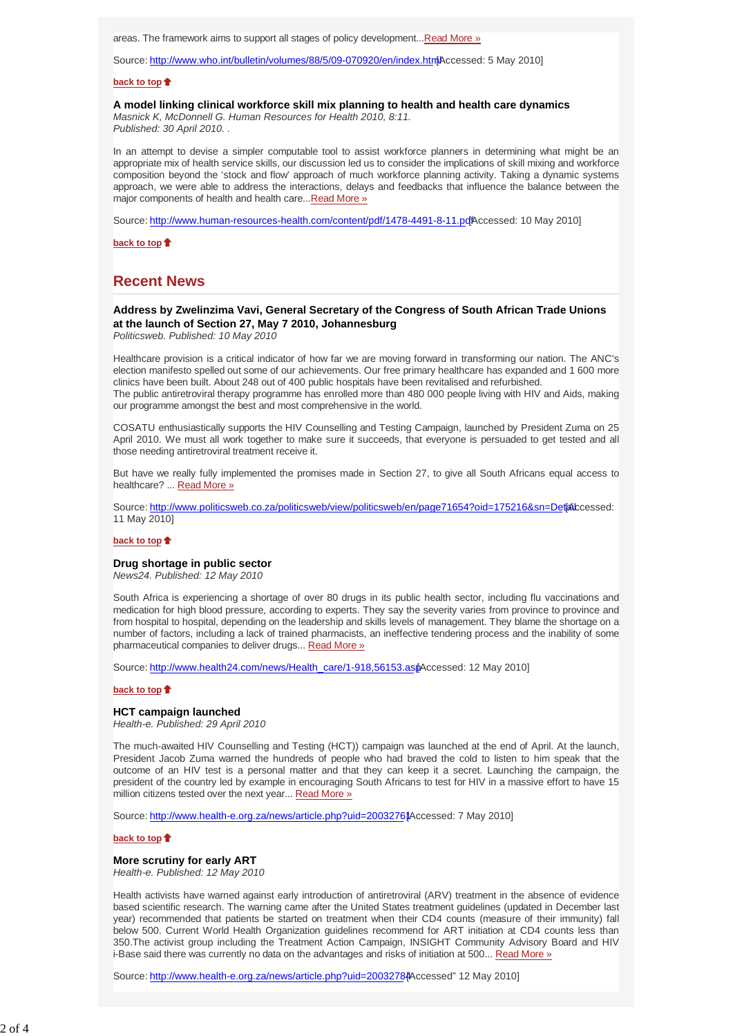areas. The framework aims to support all stages of policy development...Read More »

Source: http://www.who.int/bulletin/volumes/88/5/09-070920/en/index.html Accessed: 5 May 2010]

#### **back to top**

#### **A model linking clinical workforce skill mix planning to health and health care dynamics**

*Masnick K, McDonnell G. Human Resources for Health 2010, 8:11. Published: 30 April 2010. .*

In an attempt to devise a simpler computable tool to assist workforce planners in determining what might be an appropriate mix of health service skills, our discussion led us to consider the implications of skill mixing and workforce composition beyond the 'stock and flow' approach of much workforce planning activity. Taking a dynamic systems approach, we were able to address the interactions, delays and feedbacks that influence the balance between the major components of health and health care... Read More »

Source: http://www.human-resources-health.com/content/pdf/1478-4491-8-11.pdfAccessed: 10 May 2010]

**back to top**

# **Recent News**

### **Address by Zwelinzima Vavi, General Secretary of the Congress of South African Trade Unions at the launch of Section 27, May 7 2010, Johannesburg**

*Politicsweb. Published: 10 May 2010*

Healthcare provision is a critical indicator of how far we are moving forward in transforming our nation. The ANC's election manifesto spelled out some of our achievements. Our free primary healthcare has expanded and 1 600 more clinics have been built. About 248 out of 400 public hospitals have been revitalised and refurbished. The public antiretroviral therapy programme has enrolled more than 480 000 people living with HIV and Aids, making our programme amongst the best and most comprehensive in the world.

COSATU enthusiastically supports the HIV Counselling and Testing Campaign, launched by President Zuma on 25 April 2010. We must all work together to make sure it succeeds, that everyone is persuaded to get tested and all those needing antiretroviral treatment receive it.

But have we really fully implemented the promises made in Section 27, to give all South Africans equal access to healthcare? ... Read More »

Source: http://www.politicsweb.co.za/politicsweb/view/politicsweb/en/page71654?oid=175216&sn=Detail ccessed: 11 May 2010]

#### **back to top**

### **Drug shortage in public sector**

*News24. Published: 12 May 2010*

South Africa is experiencing a shortage of over 80 drugs in its public health sector, including flu vaccinations and medication for high blood pressure, according to experts. They say the severity varies from province to province and from hospital to hospital, depending on the leadership and skills levels of management. They blame the shortage on a number of factors, including a lack of trained pharmacists, an ineffective tendering process and the inability of some pharmaceutical companies to deliver drugs... Read More »

Source: http://www.health24.com/news/Health\_care/1-918,56153.asp Accessed: 12 May 2010]

#### **back to top**

## **HCT campaign launched**

*Health-e. Published: 29 April 2010*

The much-awaited HIV Counselling and Testing (HCT)) campaign was launched at the end of April. At the launch, President Jacob Zuma warned the hundreds of people who had braved the cold to listen to him speak that the outcome of an HIV test is a personal matter and that they can keep it a secret. Launching the campaign, the president of the country led by example in encouraging South Africans to test for HIV in a massive effort to have 15 million citizens tested over the next year... Read More »

Source: http://www.health-e.org.za/news/article.php?uid=20032761Accessed: 7 May 20101

#### **back to top**

#### **More scrutiny for early ART**

*Health-e. Published: 12 May 2010*

Health activists have warned against early introduction of antiretroviral (ARV) treatment in the absence of evidence based scientific research. The warning came after the United States treatment guidelines (updated in December last year) recommended that patients be started on treatment when their CD4 counts (measure of their immunity) fall below 500. Current World Health Organization guidelines recommend for ART initiation at CD4 counts less than 350.The activist group including the Treatment Action Campaign, INSIGHT Community Advisory Board and HIV i-Base said there was currently no data on the advantages and risks of initiation at 500... Read More »

Source: http://www.health-e.org.za/news/article.php?uid=2003278#Accessed" 12 May 2010]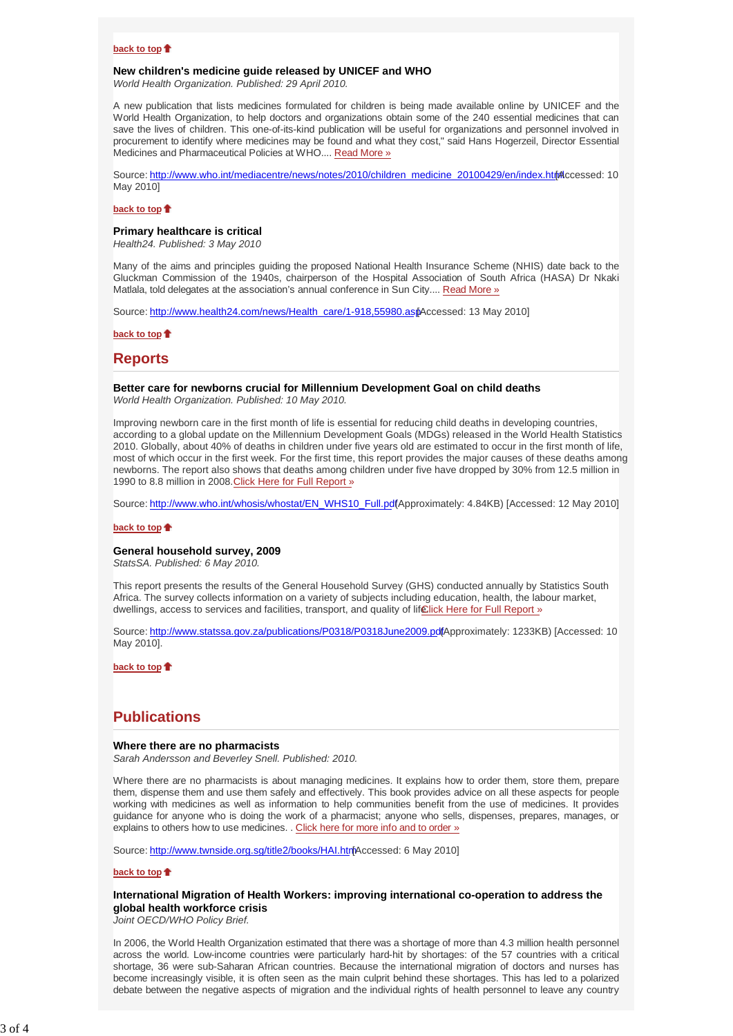### **back to top**

#### **New children's medicine guide released by UNICEF and WHO**

*World Health Organization. Published: 29 April 2010.*

A new publication that lists medicines formulated for children is being made available online by UNICEF and the World Health Organization, to help doctors and organizations obtain some of the 240 essential medicines that can save the lives of children. This one-of-its-kind publication will be useful for organizations and personnel involved in procurement to identify where medicines may be found and what they cost," said Hans Hogerzeil, Director Essential Medicines and Pharmaceutical Policies at WHO.... Read More »

Source: http://www.who.int/mediacentre/news/notes/2010/children\_medicine\_20100429/en/index.html [Accessed: 10 May 2010]

#### **back to top**

#### **Primary healthcare is critical**

*Health24. Published: 3 May 2010*

Many of the aims and principles guiding the proposed National Health Insurance Scheme (NHIS) date back to the Gluckman Commission of the 1940s, chairperson of the Hospital Association of South Africa (HASA) Dr Nkaki Matlala, told delegates at the association's annual conference in Sun City.... Read More »

Source: http://www.health24.com/news/Health\_care/1-918,55980.asp [Accessed: 13 May 2010]

#### **back to top**

### **Reports**

**Better care for newborns crucial for Millennium Development Goal on child deaths** *World Health Organization. Published: 10 May 2010.* 

Improving newborn care in the first month of life is essential for reducing child deaths in developing countries, according to a global update on the Millennium Development Goals (MDGs) released in the World Health Statistics 2010. Globally, about 40% of deaths in children under five years old are estimated to occur in the first month of life, most of which occur in the first week. For the first time, this report provides the major causes of these deaths among newborns. The report also shows that deaths among children under five have dropped by 30% from 12.5 million in 1990 to 8.8 million in 2008. Click Here for Full Report »

Source: http://www.who.int/whosis/whostat/EN\_WHS10\_Full.pdf (Approximately: 4.84KB) [Accessed: 12 May 2010]

#### **back to top**

#### **General household survey, 2009**

*StatsSA. Published: 6 May 2010.* 

This report presents the results of the General Household Survey (GHS) conducted annually by Statistics South Africa. The survey collects information on a variety of subjects including education, health, the labour market, dwellings, access to services and facilities, transport, and quality of lifelick Here for Full Report »

Source: http://www.statssa.gov.za/publications/P0318/P0318June2009.pdfApproximately: 1233KB) [Accessed: 10 May 2010].

**back to top**

# **Publications**

#### **Where there are no pharmacists**

*Sarah Andersson and Beverley Snell. Published: 2010.*

Where there are no pharmacists is about managing medicines. It explains how to order them, store them, prepare them, dispense them and use them safely and effectively. This book provides advice on all these aspects for people working with medicines as well as information to help communities benefit from the use of medicines. It provides guidance for anyone who is doing the work of a pharmacist; anyone who sells, dispenses, prepares, manages, or explains to others how to use medicines. . Click here for more info and to order »

Source: http://www.twnside.org.sg/title2/books/HAI.htrin Accessed: 6 May 2010]

#### **back to top**

### **International Migration of Health Workers: improving international co-operation to address the global health workforce crisis**

*Joint OECD/WHO Policy Brief.*

In 2006, the World Health Organization estimated that there was a shortage of more than 4.3 million health personnel across the world. Low-income countries were particularly hard-hit by shortages: of the 57 countries with a critical shortage, 36 were sub-Saharan African countries. Because the international migration of doctors and nurses has become increasingly visible, it is often seen as the main culprit behind these shortages. This has led to a polarized debate between the negative aspects of migration and the individual rights of health personnel to leave any country